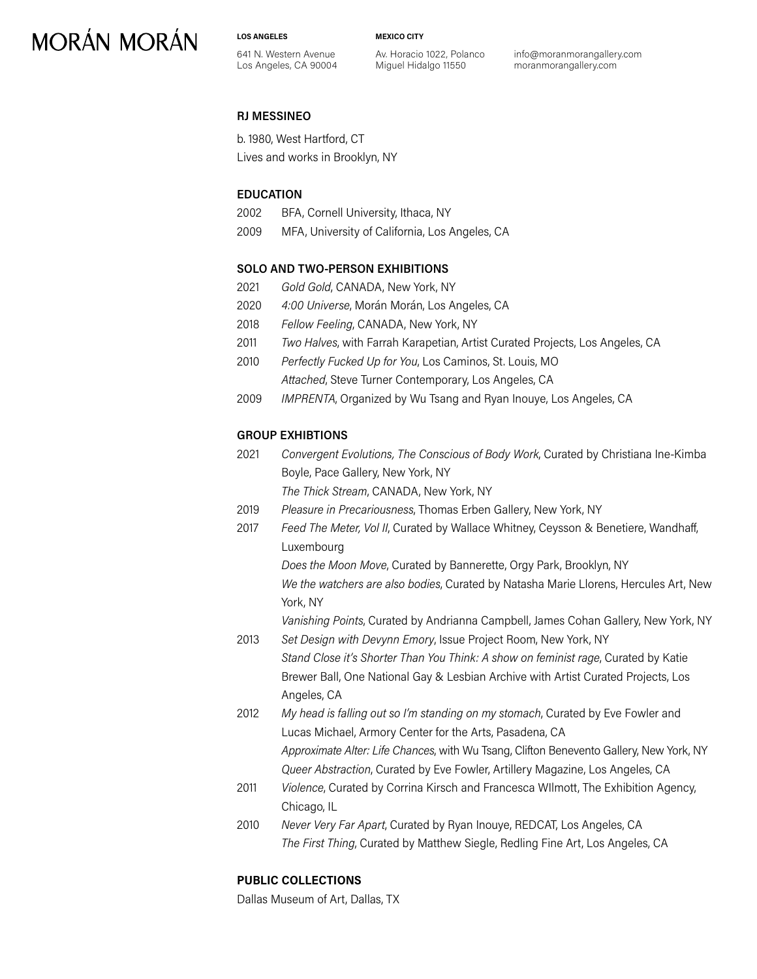# **MORÁN MORÁN**

**LOS ANGELES**

**MEXICO CITY**

641 N. Western Avenue Los Angeles, CA 90004 Av. Horacio 1022, Polanco Miguel Hidalgo 11550

info@moranmorangallery.com moranmorangallery.com

## **RJ MESSINEO**

b. 1980, West Hartford, CT Lives and works in Brooklyn, NY

# **EDUCATION**

- 2002 BFA, Cornell University, Ithaca, NY
- 2009 MFA, University of California, Los Angeles, CA

#### **SOLO AND TWO-PERSON EXHIBITIONS**

- 2021 *Gold Gold*, CANADA, New York, NY
- 2020 *4:00 Universe*, Morán Morán, Los Angeles, CA
- 2018 *Fellow Feeling*, CANADA, New York, NY
- 2011 *Two Halves*, with Farrah Karapetian, Artist Curated Projects, Los Angeles, CA
- 2010 *Perfectly Fucked Up for You*, Los Caminos, St. Louis, MO *Attached*, Steve Turner Contemporary, Los Angeles, CA
- 2009 *IMPRENTA*, Organized by Wu Tsang and Ryan Inouye, Los Angeles, CA

#### **GROUP EXHIBTIONS**

- 2021 *Convergent Evolutions, The Conscious of Body Work*, Curated by Christiana Ine-Kimba Boyle, Pace Gallery, New York, NY *The Thick Stream*, CANADA, New York, NY
- 2019 *Pleasure in Precariousness*, Thomas Erben Gallery, New York, NY
- 2017 *Feed The Meter, Vol II*, Curated by Wallace Whitney, Ceysson & Benetiere, Wandhaff, Luxembourg *Does the Moon Move*, Curated by Bannerette, Orgy Park, Brooklyn, NY *We the watchers are also bodies*, Curated by Natasha Marie Llorens, Hercules Art, New

York, NY

*Vanishing Points*, Curated by Andrianna Campbell, James Cohan Gallery, New York, NY

- 2013 *Set Design with Devynn Emory*, Issue Project Room, New York, NY *Stand Close it's Shorter Than You Think: A show on feminist rage*, Curated by Katie Brewer Ball, One National Gay & Lesbian Archive with Artist Curated Projects, Los Angeles, CA
- 2012 *My head is falling out so I'm standing on my stomach*, Curated by Eve Fowler and Lucas Michael, Armory Center for the Arts, Pasadena, CA *Approximate Alter: Life Chances*, with Wu Tsang, Clifton Benevento Gallery, New York, NY *Queer Abstraction*, Curated by Eve Fowler, Artillery Magazine, Los Angeles, CA
- 2011 *Violence*, Curated by Corrina Kirsch and Francesca WIlmott, The Exhibition Agency, Chicago, IL
- 2010 *Never Very Far Apart*, Curated by Ryan Inouye, REDCAT, Los Angeles, CA *The First Thing*, Curated by Matthew Siegle, Redling Fine Art, Los Angeles, CA

#### **PUBLIC COLLECTIONS**

Dallas Museum of Art, Dallas, TX